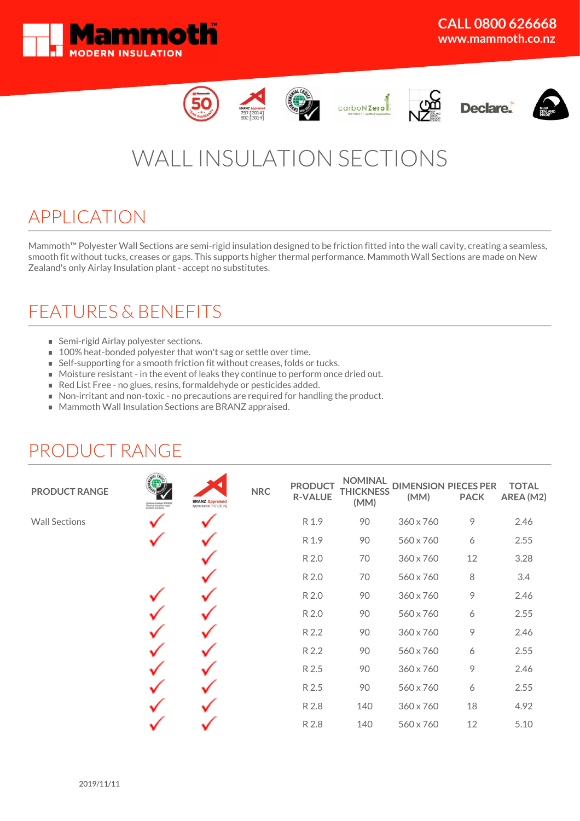













# WALL INSULATION SECTIONS

## APPLICATION

Mammoth™ Polyester Wall Sections are semi-rigid insulation designed to be friction fitted into the wall cavity, creating a seamless, smooth fit without tucks, creases or gaps. This supports higher thermal performance. Mammoth Wall Sections are made on New Zealand's only Airlay Insulation plant - accept no substitutes.

## FEATURES & BENEFITS

- **Semi-rigid Airlay polyester sections.**
- **100%** heat-bonded polyester that won't sag or settle over time.
- Self-supporting for a smooth friction fit without creases, folds or tucks.
- Moisture resistant in the event of leaks they continue to perform once dried out.
- Red List Free no glues, resins, formaldehyde or pesticides added.
- Non-irritant and non-toxic no precautions are required for handling the product.
- Mammoth Wall Insulation Sections are BRANZ appraised.

# PRODUCT RANGE ü

| <b>PRODUCT RANGE</b> | Licence number 2510002<br>Thermal (resistive-type)<br>Building Insulants | <b>BRANZ Appraised</b><br>Appraisal No.797 [2014] | <b>NRC</b> | <b>PRODUCT</b><br><b>R-VALUE</b> | <b>NOMINAL</b><br><b>THICKNESS</b><br>(MM) | <b>DIMENSION PIECES PER</b><br>(MM) | <b>PACK</b> | <b>TOTAL</b><br>AREA (M2) |
|----------------------|--------------------------------------------------------------------------|---------------------------------------------------|------------|----------------------------------|--------------------------------------------|-------------------------------------|-------------|---------------------------|
| <b>Wall Sections</b> |                                                                          |                                                   |            | R 1.9                            | 90                                         | 360 x 760                           | 9           | 2.46                      |
|                      |                                                                          |                                                   |            | R 1.9                            | 90                                         | 560 x 760                           | 6           | 2.55                      |
|                      |                                                                          |                                                   |            | R 2.0                            | 70                                         | 360 x 760                           | 12          | 3.28                      |
|                      |                                                                          |                                                   |            | R 2.0                            | 70                                         | 560 x 760                           | 8           | 3.4                       |
|                      |                                                                          |                                                   |            | R 2.0                            | 90                                         | 360 x 760                           | 9           | 2.46                      |
|                      |                                                                          |                                                   |            | R 2.0                            | 90                                         | 560 x 760                           | 6           | 2.55                      |
|                      |                                                                          |                                                   |            | R 2.2                            | 90                                         | 360 x 760                           | 9           | 2.46                      |
|                      |                                                                          |                                                   |            | R 2.2                            | 90                                         | 560 x 760                           | 6           | 2.55                      |
|                      |                                                                          |                                                   |            | R 2.5                            | 90                                         | 360 x 760                           | 9           | 2.46                      |
|                      |                                                                          |                                                   |            | R 2.5                            | 90                                         | 560 x 760                           | 6           | 2.55                      |
|                      |                                                                          |                                                   |            | R 2.8                            | 140                                        | 360 x 760                           | 18          | 4.92                      |
|                      |                                                                          |                                                   |            | R 2.8                            | 140                                        | 560 x 760                           | 12          | 5.10                      |